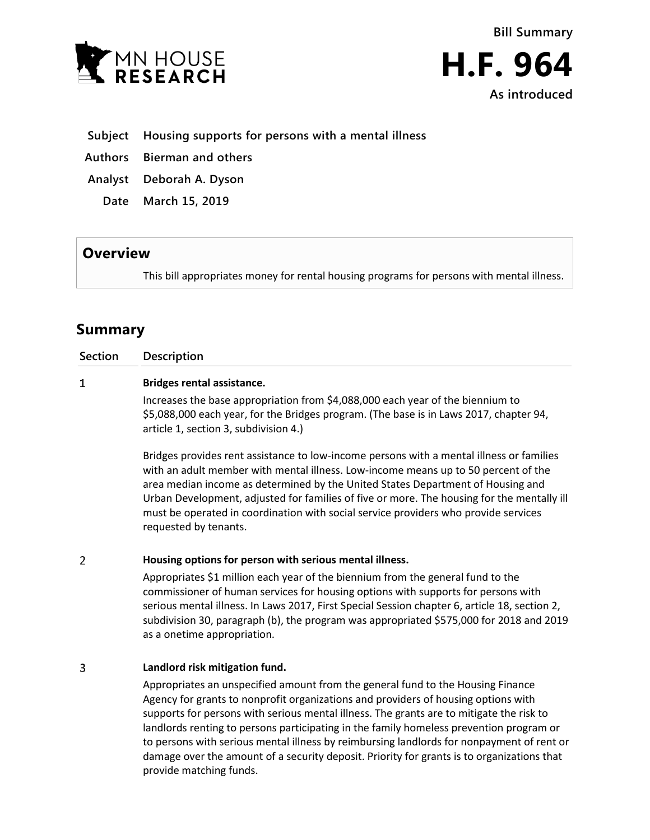

**As introduced**

**Subject Housing supports for persons with a mental illness**

**Authors Bierman and others**

**Analyst Deborah A. Dyson**

**Date March 15, 2019**

## **Overview**

This bill appropriates money for rental housing programs for persons with mental illness.

# **Summary**

**Section Description**

## $\mathbf{1}$ **Bridges rental assistance.**

Increases the base appropriation from \$4,088,000 each year of the biennium to \$5,088,000 each year, for the Bridges program. (The base is in Laws 2017, chapter 94, article 1, section 3, subdivision 4.)

Bridges provides rent assistance to low-income persons with a mental illness or families with an adult member with mental illness. Low-income means up to 50 percent of the area median income as determined by the United States Department of Housing and Urban Development, adjusted for families of five or more. The housing for the mentally ill must be operated in coordination with social service providers who provide services requested by tenants.

#### $\overline{2}$ **Housing options for person with serious mental illness.**

Appropriates \$1 million each year of the biennium from the general fund to the commissioner of human services for housing options with supports for persons with serious mental illness. In Laws 2017, First Special Session chapter 6, article 18, section 2, subdivision 30, paragraph (b), the program was appropriated \$575,000 for 2018 and 2019 as a onetime appropriation.

### 3 **Landlord risk mitigation fund.**

Appropriates an unspecified amount from the general fund to the Housing Finance Agency for grants to nonprofit organizations and providers of housing options with supports for persons with serious mental illness. The grants are to mitigate the risk to landlords renting to persons participating in the family homeless prevention program or to persons with serious mental illness by reimbursing landlords for nonpayment of rent or damage over the amount of a security deposit. Priority for grants is to organizations that provide matching funds.